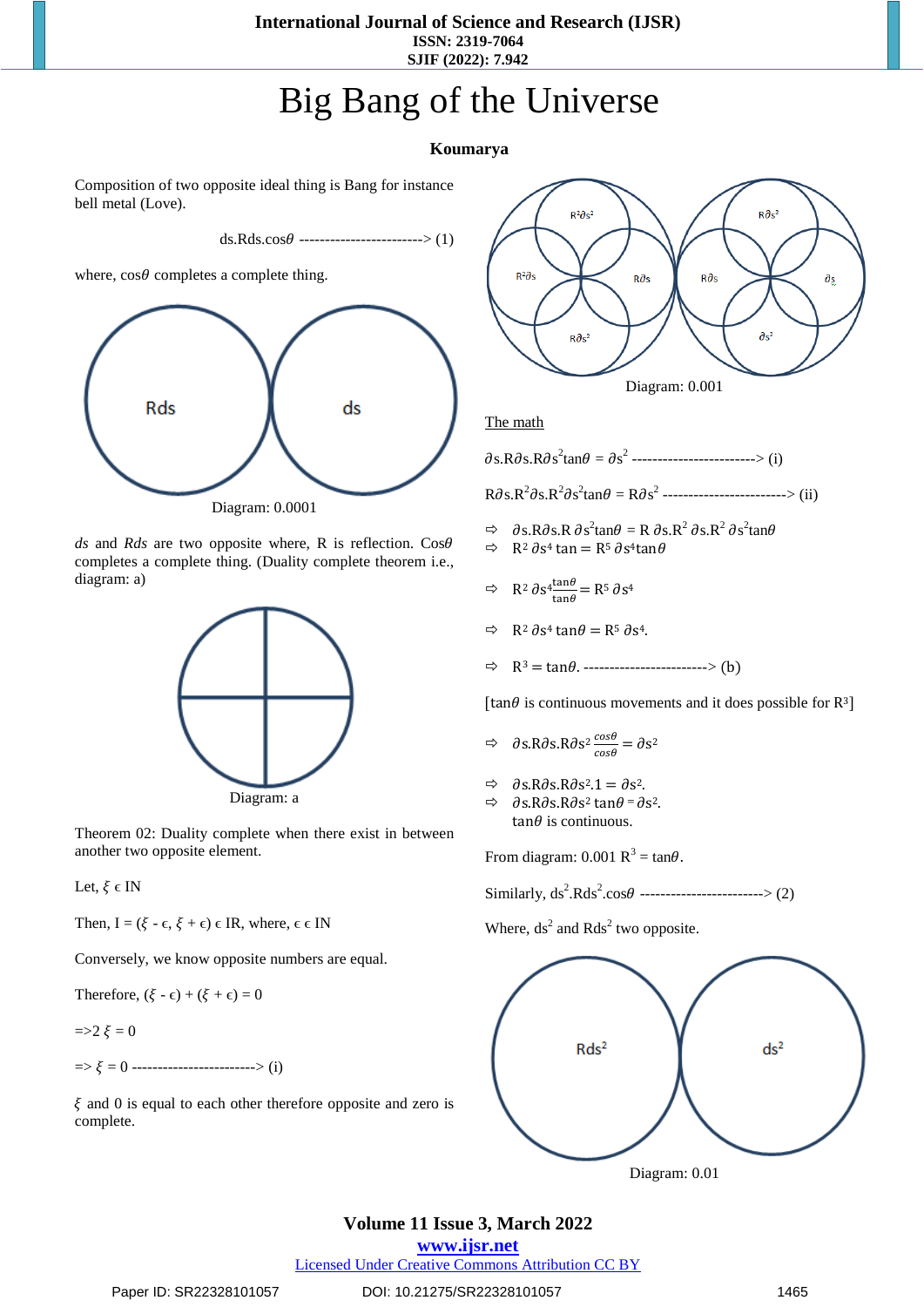#### **International Journal of Science and Research (IJSR) ISSN: 2319-7064**

**SJIF (2022): 7.942**

# Big Bang of the Universe

#### **Koumarya**

Composition of two opposite ideal thing is Bang for instance bell metal (Love).

 $ds.Rds.cos\theta$  ------------------------> (1)

where,  $\cos\theta$  completes a complete thing.



*ds* and *Rds* are two opposite where, R is reflection.  $\cos\theta$ completes a complete thing. (Duality complete theorem i.e., diagram: a)



Theorem 02: Duality complete when there exist in between another two opposite element.

Let,  $\xi \in IN$ 

Then,  $I = (\xi - \epsilon, \xi + \epsilon) \in IR$ , where,  $\epsilon \in IN$ 

Conversely, we know opposite numbers are equal.

Therefore,  $(\xi - \epsilon) + (\xi + \epsilon) = 0$ 

$$
=\!\!>\!\!2\;\xi=0
$$

 $\Rightarrow \xi = 0$  -------------------------> (i)

 $\xi$  and 0 is equal to each other therefore opposite and zero is complete.



The math

 $\partial s.R \partial s.R \partial s^2 \tan \theta = \partial s^2$  ------------------------> (i)

 $R\partial s.R^2\partial s.R^2\partial s^2 \tan\theta = R\partial s^2$  -----------------------> (ii)

- $\Rightarrow \quad \partial$ s.R $\partial$ s.R $\partial$ s<sup>2</sup>tan $\theta = R \partial$ s.R<sup>2</sup> $\partial$ s.R<sup>2</sup> $\partial$ s<sup>2</sup>tan $\theta$
- $\Rightarrow$  R<sup>2</sup>  $\partial$ s<sup>4</sup> tan = R<sup>5</sup>  $\partial$ s<sup>4</sup>tan $\theta$
- $\Rightarrow$  R<sup>2</sup>  $\partial$  s<sup>4</sup>  $\frac{\tan \theta}{\tan \theta} = R^5 \partial S^4$
- $\Rightarrow$  R<sup>2</sup>  $\partial$ s<sup>4</sup> tan $\theta$  = R<sup>5</sup>  $\partial$ s<sup>4</sup>.
- $\Rightarrow$  R<sup>3</sup> = tan $\theta$ . ------------------------> (b)

[ $\tan\theta$  is continuous movements and it does possible for R<sup>3</sup>]

- $\Rightarrow$   $\partial$ s.R $\partial$ s.R $\partial$ s<sup>2</sup>  $\frac{\cos\theta}{\cos\theta} = \partial s^2$
- $\Rightarrow$   $\partial$ s.R $\partial$ s.R $\partial$ s<sup>2</sup>.1 =  $\partial$ s<sup>2</sup>.
- $\Rightarrow$   $\partial$ s.R $\partial$ s.R $\partial$ s<sup>2</sup> tan $\theta$  =  $\partial$ s<sup>2</sup>.  $tan \theta$  is continuous.

From diagram: 0.001  $R^3 = \tan\theta$ .

Similarly,  $ds^2.Rds^2.cos\theta$  ------------------------> (2)

Where,  $ds^2$  and  $Rds^2$  two opposite.



# **Volume 11 Issue 3, March 2022**

#### **www.ijsr.net**

Licensed Under Creative Commons Attribution CC BY

Paper ID: SR22328101057 DOI: 10.21275/SR22328101057 1465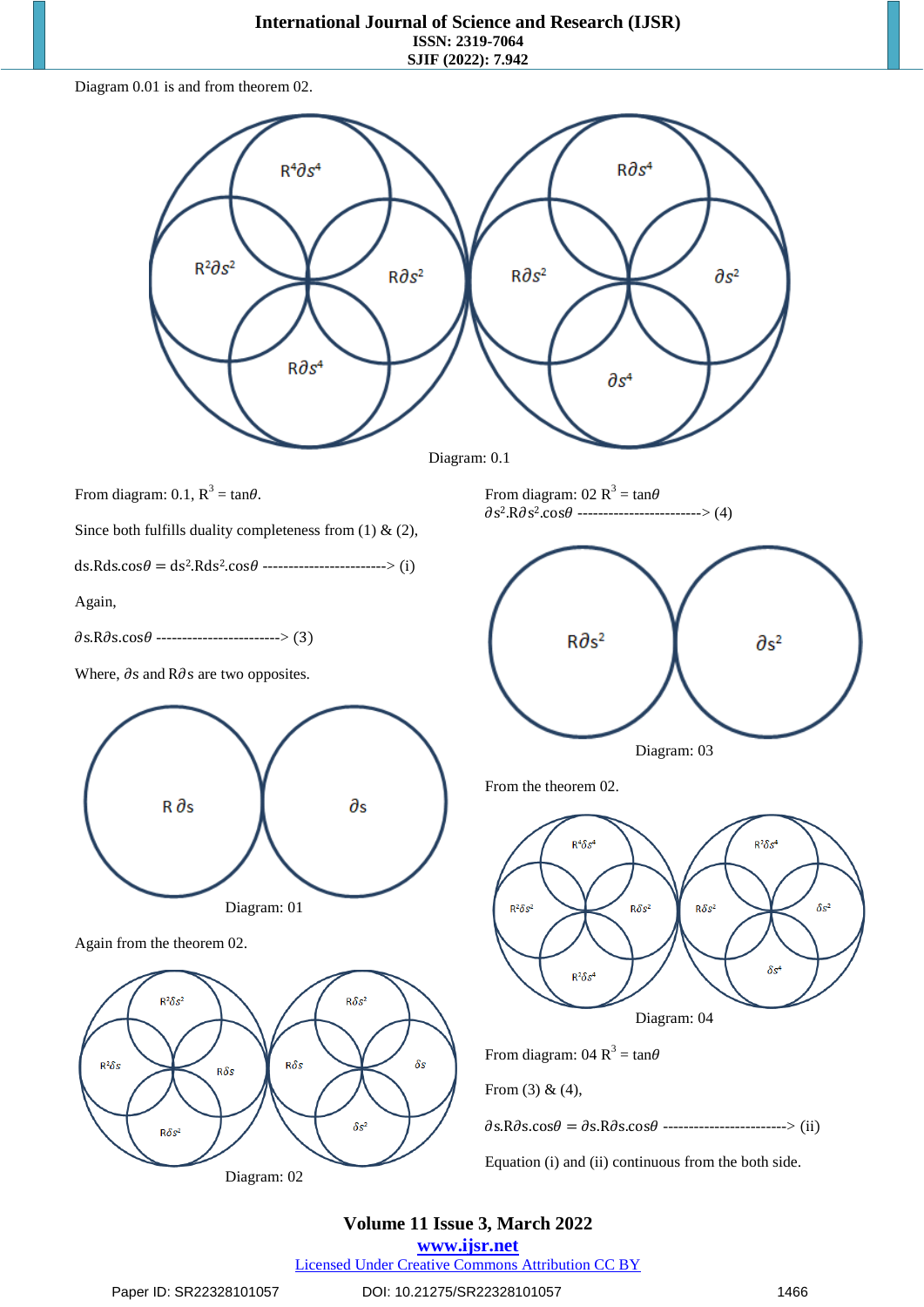# **International Journal of Science and Research (IJSR)**

**ISSN: 2319-7064 SJIF (2022): 7.942**

Diagram 0.01 is and from theorem 02.



Equation (i) and (ii) continuous from the both side.

### **Volume 11 Issue 3, March 2022**

**www.ijsr.net**

Licensed Under Creative Commons Attribution CC BY

Diagram: 02

#### Paper ID: SR22328101057 DOI: 10.21275/SR22328101057 1466